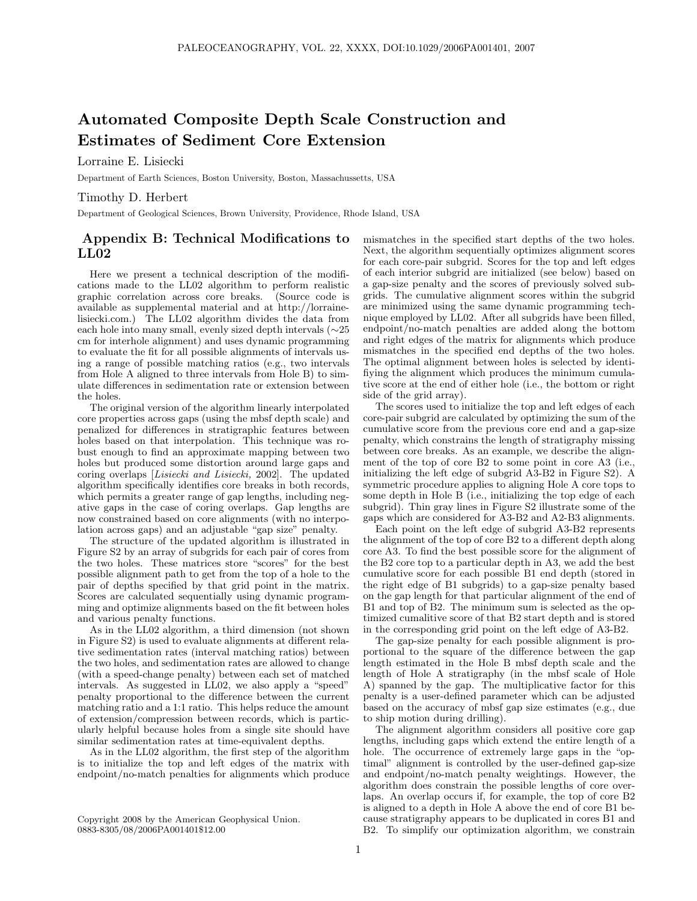## Automated Composite Depth Scale Construction and Estimates of Sediment Core Extension

Lorraine E. Lisiecki

Department of Earth Sciences, Boston University, Boston, Massachussetts, USA

## Timothy D. Herbert

Department of Geological Sciences, Brown University, Providence, Rhode Island, USA

## Appendix B: Technical Modifications to LL02

Here we present a technical description of the modifications made to the LL02 algorithm to perform realistic graphic correlation across core breaks. (Source code is available as supplemental material and at http://lorrainelisiecki.com.) The LL02 algorithm divides the data from each hole into many small, evenly sized depth intervals (∼25 cm for interhole alignment) and uses dynamic programming to evaluate the fit for all possible alignments of intervals using a range of possible matching ratios (e.g., two intervals from Hole A aligned to three intervals from Hole B) to simulate differences in sedimentation rate or extension between the holes.

The original version of the algorithm linearly interpolated core properties across gaps (using the mbsf depth scale) and penalized for differences in stratigraphic features between holes based on that interpolation. This technique was robust enough to find an approximate mapping between two holes but produced some distortion around large gaps and coring overlaps [Lisiecki and Lisiecki, 2002]. The updated algorithm specifically identifies core breaks in both records, which permits a greater range of gap lengths, including negative gaps in the case of coring overlaps. Gap lengths are now constrained based on core alignments (with no interpolation across gaps) and an adjustable "gap size" penalty.

The structure of the updated algorithm is illustrated in Figure S2 by an array of subgrids for each pair of cores from the two holes. These matrices store "scores" for the best possible alignment path to get from the top of a hole to the pair of depths specified by that grid point in the matrix. Scores are calculated sequentially using dynamic programming and optimize alignments based on the fit between holes and various penalty functions.

As in the LL02 algorithm, a third dimension (not shown in Figure S2) is used to evaluate alignments at different relative sedimentation rates (interval matching ratios) between the two holes, and sedimentation rates are allowed to change (with a speed-change penalty) between each set of matched intervals. As suggested in LL02, we also apply a "speed" penalty proportional to the difference between the current matching ratio and a 1:1 ratio. This helps reduce the amount of extension/compression between records, which is particularly helpful because holes from a single site should have similar sedimentation rates at time-equivalent depths.

As in the LL02 algorithm, the first step of the algorithm is to initialize the top and left edges of the matrix with endpoint/no-match penalties for alignments which produce

mismatches in the specified start depths of the two holes. Next, the algorithm sequentially optimizes alignment scores for each core-pair subgrid. Scores for the top and left edges of each interior subgrid are initialized (see below) based on a gap-size penalty and the scores of previously solved subgrids. The cumulative alignment scores within the subgrid are minimized using the same dynamic programming technique employed by LL02. After all subgrids have been filled, endpoint/no-match penalties are added along the bottom and right edges of the matrix for alignments which produce mismatches in the specified end depths of the two holes. The optimal alignment between holes is selected by identifiying the alignment which produces the minimum cumulative score at the end of either hole (i.e., the bottom or right side of the grid array).

The scores used to initialize the top and left edges of each core-pair subgrid are calculated by optimizing the sum of the cumulative score from the previous core end and a gap-size penalty, which constrains the length of stratigraphy missing between core breaks. As an example, we describe the alignment of the top of core B2 to some point in core A3 (i.e., initializing the left edge of subgrid A3-B2 in Figure S2). A symmetric procedure applies to aligning Hole A core tops to some depth in Hole B (i.e., initializing the top edge of each subgrid). Thin gray lines in Figure S2 illustrate some of the gaps which are considered for A3-B2 and A2-B3 alignments.

Each point on the left edge of subgrid A3-B2 represents the alignment of the top of core B2 to a different depth along core A3. To find the best possible score for the alignment of the B2 core top to a particular depth in A3, we add the best cumulative score for each possible B1 end depth (stored in the right edge of B1 subgrids) to a gap-size penalty based on the gap length for that particular alignment of the end of B1 and top of B2. The minimum sum is selected as the optimized cumalitive score of that B2 start depth and is stored in the corresponding grid point on the left edge of A3-B2.

The gap-size penalty for each possible alignment is proportional to the square of the difference between the gap length estimated in the Hole B mbsf depth scale and the length of Hole A stratigraphy (in the mbsf scale of Hole A) spanned by the gap. The multiplicative factor for this penalty is a user-defined parameter which can be adjusted based on the accuracy of mbsf gap size estimates (e.g., due to ship motion during drilling).

The alignment algorithm considers all positive core gap lengths, including gaps which extend the entire length of a hole. The occurrence of extremely large gaps in the "optimal" alignment is controlled by the user-defined gap-size and endpoint/no-match penalty weightings. However, the algorithm does constrain the possible lengths of core overlaps. An overlap occurs if, for example, the top of core B2 is aligned to a depth in Hole A above the end of core B1 because stratigraphy appears to be duplicated in cores B1 and B2. To simplify our optimization algorithm, we constrain

Copyright 2008 by the American Geophysical Union. 0883-8305/08/2006PA001401\$12.00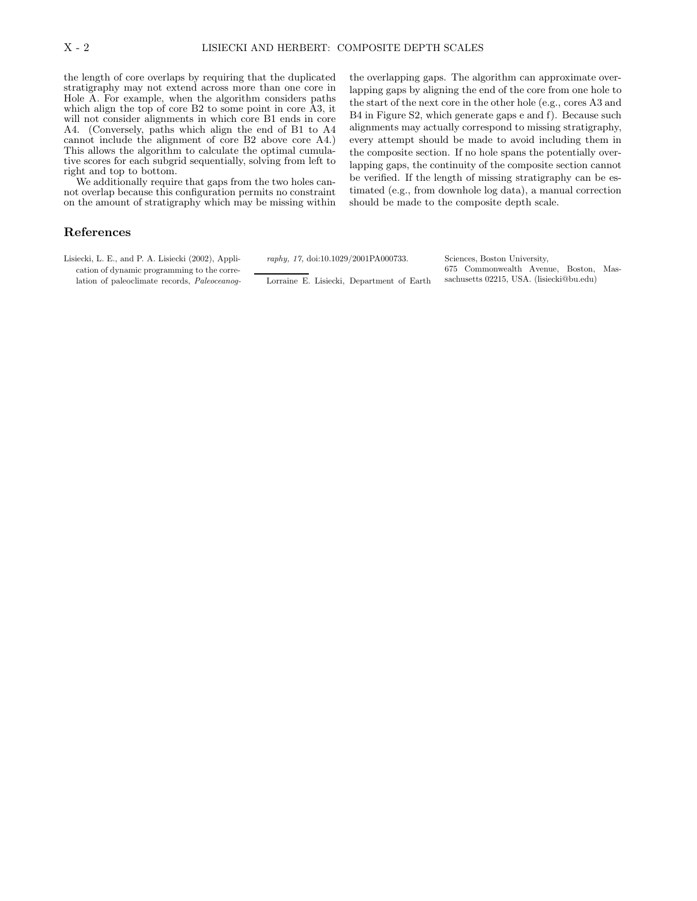the length of core overlaps by requiring that the duplicated stratigraphy may not extend across more than one core in Hole A. For example, when the algorithm considers paths which align the top of core B2 to some point in core A3, it will not consider alignments in which core B1 ends in core A4. (Conversely, paths which align the end of B1 to A4 cannot include the alignment of core B2 above core A4.) This allows the algorithm to calculate the optimal cumulative scores for each subgrid sequentially, solving from left to right and top to bottom.

We additionally require that gaps from the two holes cannot overlap because this configuration permits no constraint on the amount of stratigraphy which may be missing within the overlapping gaps. The algorithm can approximate overlapping gaps by aligning the end of the core from one hole to the start of the next core in the other hole (e.g., cores A3 and B4 in Figure S2, which generate gaps e and f). Because such alignments may actually correspond to missing stratigraphy, every attempt should be made to avoid including them in the composite section. If no hole spans the potentially overlapping gaps, the continuity of the composite section cannot be verified. If the length of missing stratigraphy can be estimated (e.g., from downhole log data), a manual correction should be made to the composite depth scale.

## References

Lisiecki, L. E., and P. A. Lisiecki (2002), Application of dynamic programming to the correlation of paleoclimate records, Paleoceanography, 17, doi:10.1029/2001PA000733.

Lorraine E. Lisiecki, Department of Earth

Sciences, Boston University, 675 Commonwealth Avenue, Boston, Massachusetts 02215, USA. (lisiecki@bu.edu)